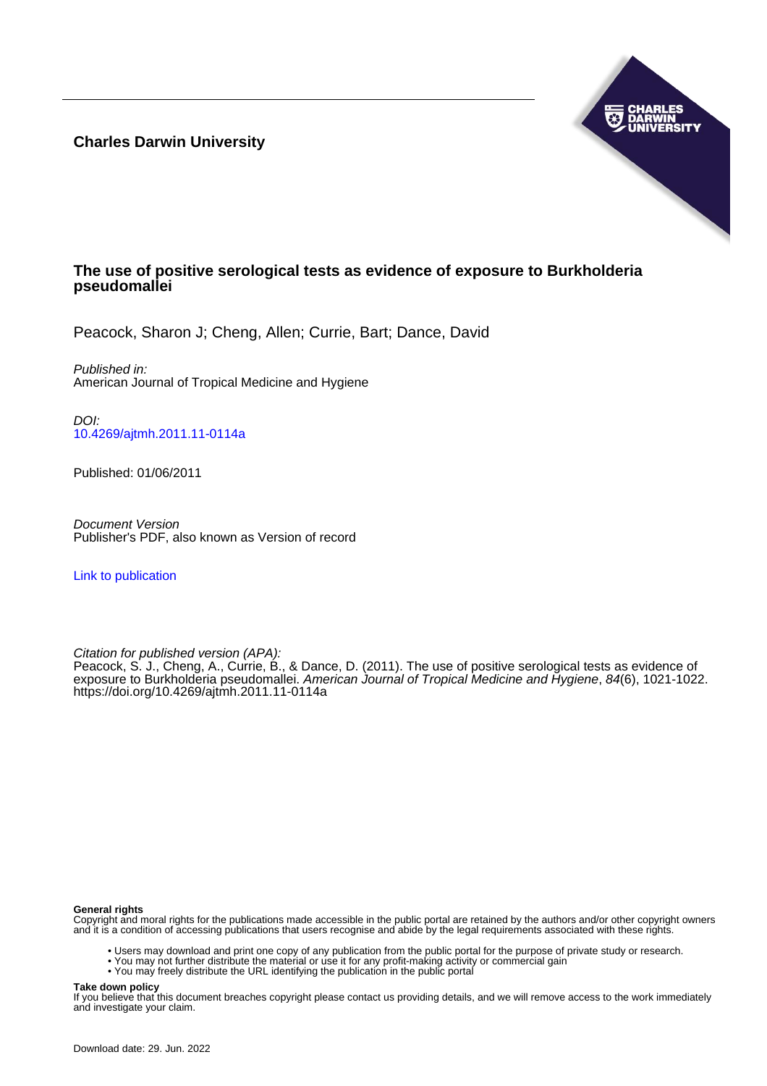**Charles Darwin University**



# **The use of positive serological tests as evidence of exposure to Burkholderia pseudomallei**

Peacock, Sharon J; Cheng, Allen; Currie, Bart; Dance, David

Published in: American Journal of Tropical Medicine and Hygiene

DOI: [10.4269/ajtmh.2011.11-0114a](https://doi.org/10.4269/ajtmh.2011.11-0114a)

Published: 01/06/2011

Document Version Publisher's PDF, also known as Version of record

[Link to publication](https://researchers.cdu.edu.au/en/publications/016c002b-a2e3-4dd3-a340-6caf34cf20db)

Citation for published version (APA):

Peacock, S. J., Cheng, A., Currie, B., & Dance, D. (2011). The use of positive serological tests as evidence of exposure to Burkholderia pseudomallei. American Journal of Tropical Medicine and Hygiene, 84(6), 1021-1022. <https://doi.org/10.4269/ajtmh.2011.11-0114a>

#### **General rights**

Copyright and moral rights for the publications made accessible in the public portal are retained by the authors and/or other copyright owners and it is a condition of accessing publications that users recognise and abide by the legal requirements associated with these rights.

- Users may download and print one copy of any publication from the public portal for the purpose of private study or research.
- You may not further distribute the material or use it for any profit-making activity or commercial gain
- You may freely distribute the URL identifying the publication in the public portal

#### **Take down policy**

If you believe that this document breaches copyright please contact us providing details, and we will remove access to the work immediately and investigate your claim.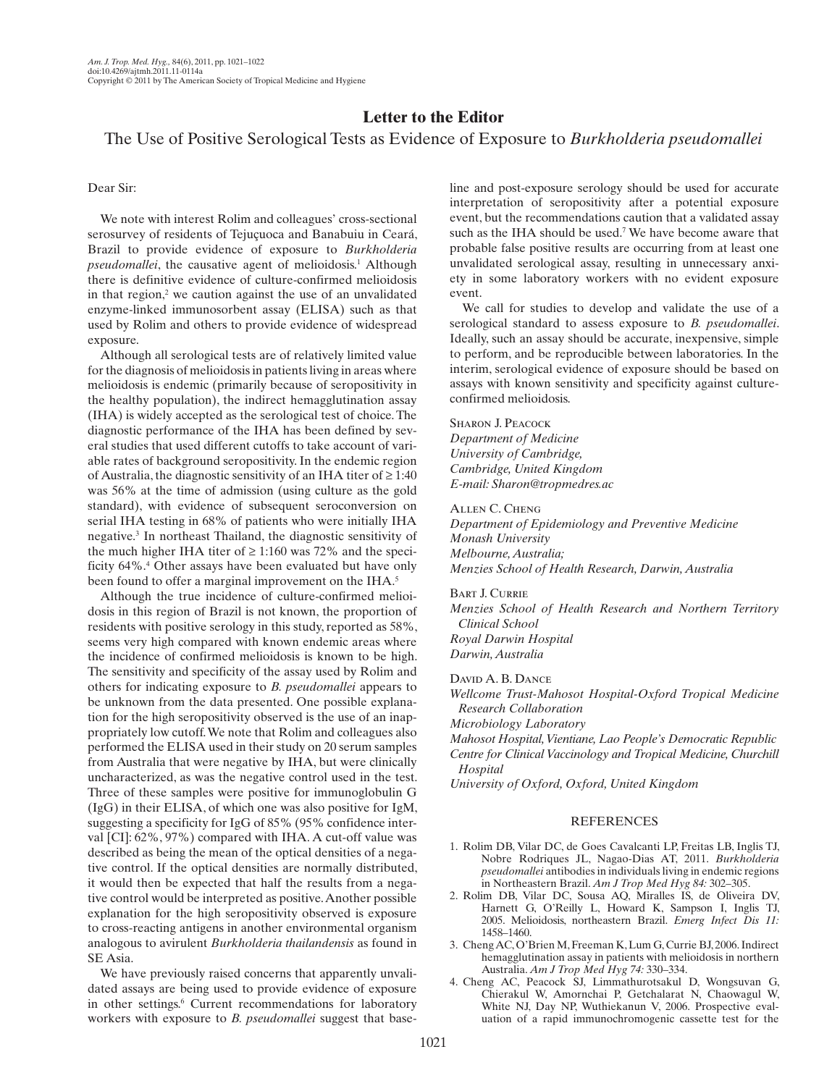## **Letter to the Editor**

## The Use of Positive Serological Tests as Evidence of Exposure to *Burkholderia pseudomallei*

### Dear Sir:

 We note with interest Rolim and colleagues' cross-sectional serosurvey of residents of Tejuçuoca and Banabuiu in Ceará, Brazil to provide evidence of exposure to *Burkholderia*  pseudomallei, the causative agent of melioidosis.<sup>1</sup> Although there is definitive evidence of culture-confirmed melioidosis in that region, $2$  we caution against the use of an unvalidated enzyme-linked immunosorbent assay (ELISA) such as that used by Rolim and others to provide evidence of widespread exposure.

 Although all serological tests are of relatively limited value for the diagnosis of melioidosis in patients living in areas where melioidosis is endemic (primarily because of seropositivity in the healthy population), the indirect hemagglutination assay (IHA) is widely accepted as the serological test of choice. The diagnostic performance of the IHA has been defined by several studies that used different cutoffs to take account of variable rates of background seropositivity. In the endemic region of Australia, the diagnostic sensitivity of an IHA titer of ≥ 1:40 was 56% at the time of admission (using culture as the gold standard), with evidence of subsequent seroconversion on serial IHA testing in 68% of patients who were initially IHA negative.<sup>3</sup> In northeast Thailand, the diagnostic sensitivity of the much higher IHA titer of  $\geq 1:160$  was 72% and the specificity 64%. 4 Other assays have been evaluated but have only been found to offer a marginal improvement on the IHA.<sup>5</sup>

 Although the true incidence of culture-confirmed melioidosis in this region of Brazil is not known, the proportion of residents with positive serology in this study, reported as 58%, seems very high compared with known endemic areas where the incidence of confirmed melioidosis is known to be high. The sensitivity and specificity of the assay used by Rolim and others for indicating exposure to *B. pseudomallei* appears to be unknown from the data presented. One possible explanation for the high seropositivity observed is the use of an inappropriately low cutoff. We note that Rolim and colleagues also performed the ELISA used in their study on 20 serum samples from Australia that were negative by IHA, but were clinically uncharacterized, as was the negative control used in the test. Three of these samples were positive for immunoglobulin G (IgG) in their ELISA, of which one was also positive for IgM, suggesting a specificity for IgG of 85% (95% confidence interval [CI]: 62%, 97%) compared with IHA. A cut-off value was described as being the mean of the optical densities of a negative control. If the optical densities are normally distributed, it would then be expected that half the results from a negative control would be interpreted as positive. Another possible explanation for the high seropositivity observed is exposure to cross-reacting antigens in another environmental organism analogous to avirulent *Burkholderia thailandensis* as found in SE Asia.

 We have previously raised concerns that apparently unvalidated assays are being used to provide evidence of exposure in other settings.<sup>6</sup> Current recommendations for laboratory workers with exposure to *B. pseudomallei* suggest that baseline and post-exposure serology should be used for accurate interpretation of seropositivity after a potential exposure event, but the recommendations caution that a validated assay such as the IHA should be used.<sup>7</sup> We have become aware that probable false positive results are occurring from at least one unvalidated serological assay, resulting in unnecessary anxiety in some laboratory workers with no evident exposure event.

 We call for studies to develop and validate the use of a serological standard to assess exposure to *B. pseudomallei* . Ideally, such an assay should be accurate, inexpensive, simple to perform, and be reproducible between laboratories. In the interim, serological evidence of exposure should be based on assays with known sensitivity and specificity against cultureconfirmed melioidosis.

### SHARON J. PEACOCK

*Department of Medicine University of Cambridge , Cambridge, United Kingdom E-mail: Sharon@tropmedres.ac*

#### ALLEN C. CHENG

*Department of Epidemiology and Preventive Medicine Monash University Melbourne, Australia; Menzies School of Health Research, Darwin, Australia* 

### BART I. CURRIE

*Menzies School of Health Research and Northern Territory Clinical School Royal Darwin Hospital Darwin, Australia*

## DAVID A. B. DANCE

*Wellcome Trust-Mahosot Hospital-Oxford Tropical Medicine Research Collaboration* 

 *Microbiology Laboratory* 

 *Mahosot Hospital, Vientiane, Lao People's Democratic Republic Centre for Clinical Vaccinology and Tropical Medicine, Churchill* 

*Hospital* 

 *University of Oxford, Oxford, United Kingdom*

#### REFERENCES

- 1. Rolim DB, Vilar DC, de Goes Cavalcanti LP, Freitas LB, Inglis TJ, Nobre Rodriques JL , Nagao-Dias AT , 2011 . *Burkholderia pseudomallei* antibodies in individuals living in endemic regions in Northeastern Brazil. Am J Trop Med Hyg 84: 302-305.
- 2. Rolim DB, Vilar DC, Sousa AQ, Miralles IS, de Oliveira DV, Harnett G, O'Reilly L, Howard K, Sampson I, Inglis TJ, 2005 . Melioidosis, northeastern Brazil . *Emerg Infect Dis 11:* 1458-1460.
- 3. Cheng AC, O'Brien M, Freeman K, Lum G, Currie BJ, 2006. Indirect hemagglutination assay in patients with melioidosis in northern Australia. *Am J Trop Med Hyg 74:* 330-334.
- 4. Cheng AC, Peacock SJ, Limmathurotsakul D, Wongsuvan G, Chierakul W, Amornchai P, Getchalarat N, Chaowagul W, White NJ, Day NP, Wuthiekanun V, 2006. Prospective evaluation of a rapid immunochromogenic cassette test for the